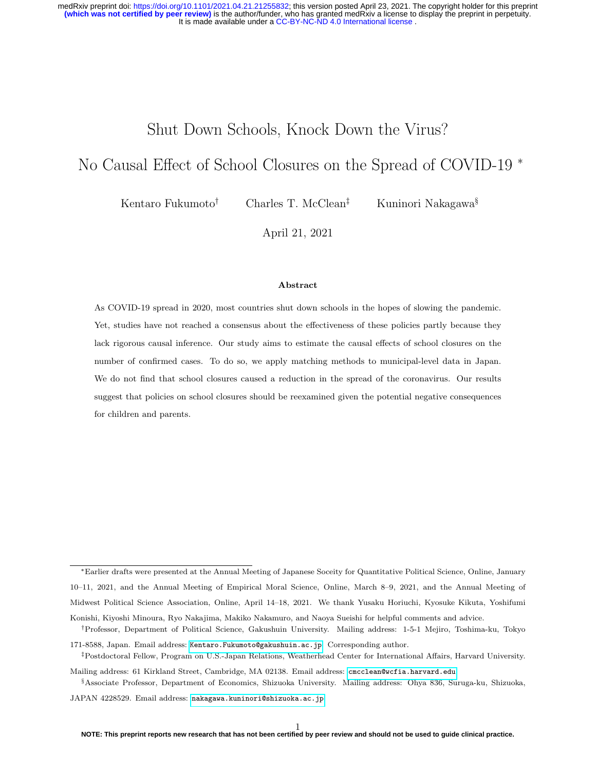# Shut Down Schools, Knock Down the Virus?

# <span id="page-0-0"></span>No Causal Effect of School Closures on the Spread of COVID-19 <sup>∗</sup>

Kentaro Fukumoto<sup>†</sup> Charles T. McClean<sup>‡</sup> Kuninori Nakagawa<sup>§</sup>

April 21, 2021

### Abstract

As COVID-19 spread in 2020, most countries shut down schools in the hopes of slowing the pandemic. Yet, studies have not reached a consensus about the effectiveness of these policies partly because they lack rigorous causal inference. Our study aims to estimate the causal effects of school closures on the number of confirmed cases. To do so, we apply matching methods to municipal-level data in Japan. We do not find that school closures caused a reduction in the spread of the coronavirus. Our results suggest that policies on school closures should be reexamined given the potential negative consequences for children and parents.

<sup>∗</sup>Earlier drafts were presented at the Annual Meeting of Japanese Soceity for Quantitative Political Science, Online, January 10–11, 2021, and the Annual Meeting of Empirical Moral Science, Online, March 8–9, 2021, and the Annual Meeting of Midwest Political Science Association, Online, April 14–18, 2021. We thank Yusaku Horiuchi, Kyosuke Kikuta, Yoshifumi Konishi, Kiyoshi Minoura, Ryo Nakajima, Makiko Nakamuro, and Naoya Sueishi for helpful comments and advice.

<sup>†</sup>Professor, Department of Political Science, Gakushuin University. Mailing address: 1-5-1 Mejiro, Toshima-ku, Tokyo 171-8588, Japan. Email address: [Kentaro.Fukumoto@gakushuin.ac.jp](mailto: Kentaro.Fukumoto@gakushuin.ac.jp). Corresponding author.

<sup>‡</sup>Postdoctoral Fellow, Program on U.S.-Japan Relations, Weatherhead Center for International Affairs, Harvard University.

Mailing address: 61 Kirkland Street, Cambridge, MA 02138. Email address: [cmcclean@wcfia.harvard.edu](mailto: cmcclean@wcfia.harvard.edu).

<sup>§</sup>Associate Professor, Department of Economics, Shizuoka University. Mailing address: Ohya 836, Suruga-ku, Shizuoka,

JAPAN 4228529. Email address: [nakagawa.kuninori@shizuoka.ac.jp](mailto: nakagawa.kuninori@shizuoka.ac.jp).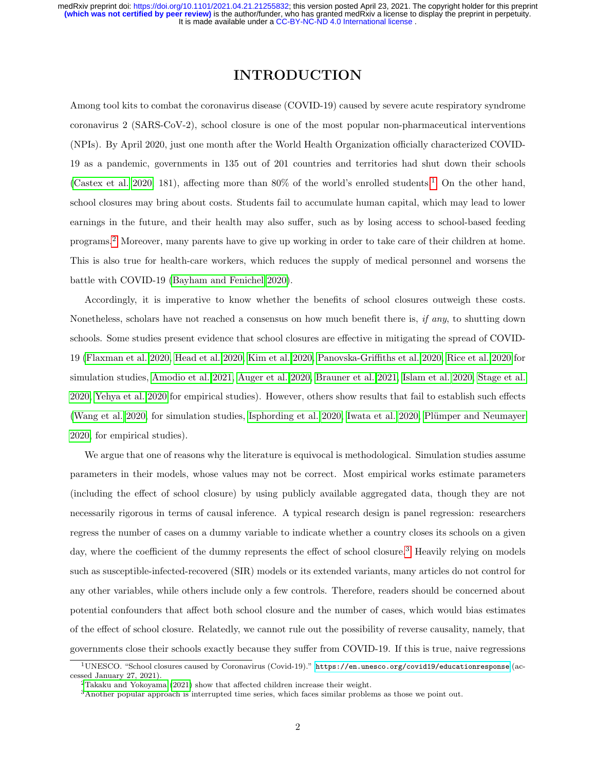## INTRODUCTION

Among tool kits to combat the coronavirus disease (COVID-19) caused by severe acute respiratory syndrome coronavirus 2 (SARS-CoV-2), school closure is one of the most popular non-pharmaceutical interventions (NPIs). By April 2020, just one month after the World Health Organization officially characterized COVID-19 as a pandemic, governments in 135 out of 201 countries and territories had shut down their schools [\(Castex et al. 2020,](#page-16-0) 181), affecting more than 80% of the world's enrolled students.[1](#page-0-0) On the other hand, school closures may bring about costs. Students fail to accumulate human capital, which may lead to lower earnings in the future, and their health may also suffer, such as by losing access to school-based feeding programs.[2](#page-0-0) Moreover, many parents have to give up working in order to take care of their children at home. This is also true for health-care workers, which reduces the supply of medical personnel and worsens the battle with COVID-19 [\(Bayham and Fenichel 2020\)](#page-16-1).

Accordingly, it is imperative to know whether the benefits of school closures outweigh these costs. Nonetheless, scholars have not reached a consensus on how much benefit there is, if any, to shutting down schools. Some studies present evidence that school closures are effective in mitigating the spread of COVID-19 [\(Flaxman et al. 2020,](#page-16-2) [Head et al. 2020,](#page-16-3) [Kim et al. 2020,](#page-17-0) [Panovska-Griffiths et al. 2020,](#page-17-1) [Rice et al. 2020](#page-18-0) for simulation studies, [Amodio et al. 2021,](#page-15-0) [Auger et al. 2020,](#page-15-1) [Brauner et al. 2021,](#page-16-4) [Islam et al. 2020,](#page-17-2) [Stage et al.](#page-18-1) [2020,](#page-18-1) [Yehya et al. 2020](#page-18-2) for empirical studies). However, others show results that fail to establish such effects [\(Wang et al. 2020,](#page-18-3) for simulation studies, [Isphording et al. 2020,](#page-17-3) [Iwata et al. 2020,](#page-17-4) Plümper and Neumayer [2020,](#page-17-5) for empirical studies).

We argue that one of reasons why the literature is equivocal is methodological. Simulation studies assume parameters in their models, whose values may not be correct. Most empirical works estimate parameters (including the effect of school closure) by using publicly available aggregated data, though they are not necessarily rigorous in terms of causal inference. A typical research design is panel regression: researchers regress the number of cases on a dummy variable to indicate whether a country closes its schools on a given day, where the coefficient of the dummy represents the effect of school closure.<sup>[3](#page-0-0)</sup> Heavily relying on models such as susceptible-infected-recovered (SIR) models or its extended variants, many articles do not control for any other variables, while others include only a few controls. Therefore, readers should be concerned about potential confounders that affect both school closure and the number of cases, which would bias estimates of the effect of school closure. Relatedly, we cannot rule out the possibility of reverse causality, namely, that governments close their schools exactly because they suffer from COVID-19. If this is true, naive regressions

 $1$ UNESCO. "School closures caused by Coronavirus (Covid-19)." <https://en.unesco.org/covid19/educationresponse> (accessed January 27, 2021).

<sup>2</sup>[Takaku and Yokoyama](#page-18-4) [\(2021\)](#page-18-4) show that affected children increase their weight.

 $3A$ nother popular approach is interrupted time series, which faces similar problems as those we point out.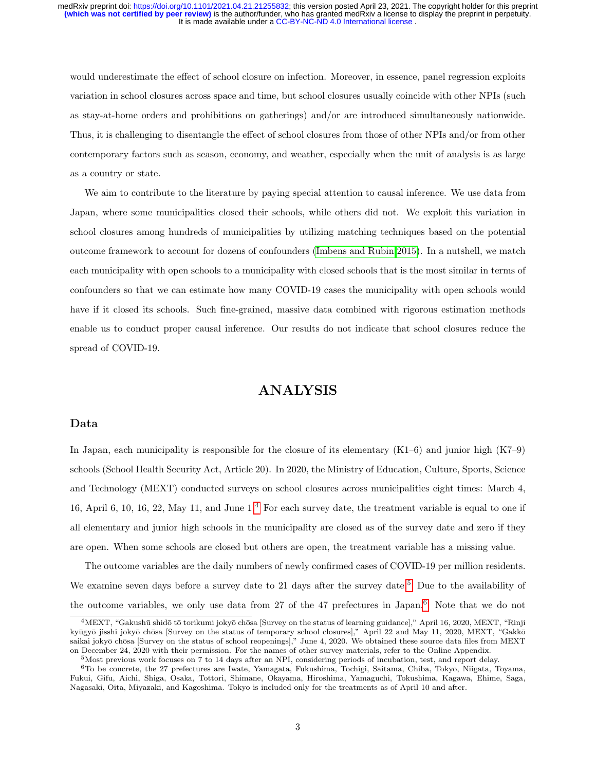would underestimate the effect of school closure on infection. Moreover, in essence, panel regression exploits variation in school closures across space and time, but school closures usually coincide with other NPIs (such as stay-at-home orders and prohibitions on gatherings) and/or are introduced simultaneously nationwide. Thus, it is challenging to disentangle the effect of school closures from those of other NPIs and/or from other contemporary factors such as season, economy, and weather, especially when the unit of analysis is as large as a country or state.

We aim to contribute to the literature by paying special attention to causal inference. We use data from Japan, where some municipalities closed their schools, while others did not. We exploit this variation in school closures among hundreds of municipalities by utilizing matching techniques based on the potential outcome framework to account for dozens of confounders [\(Imbens and Rubin 2015\)](#page-17-6). In a nutshell, we match each municipality with open schools to a municipality with closed schools that is the most similar in terms of confounders so that we can estimate how many COVID-19 cases the municipality with open schools would have if it closed its schools. Such fine-grained, massive data combined with rigorous estimation methods enable us to conduct proper causal inference. Our results do not indicate that school closures reduce the spread of COVID-19.

## ANALYSIS

### Data

In Japan, each municipality is responsible for the closure of its elementary  $(K1-6)$  and junior high  $(K7-9)$ schools (School Health Security Act, Article 20). In 2020, the Ministry of Education, Culture, Sports, Science and Technology (MEXT) conducted surveys on school closures across municipalities eight times: March 4, 16, April 6, 10, 16, 22, May 11, and June 1.[4](#page-0-0) For each survey date, the treatment variable is equal to one if all elementary and junior high schools in the municipality are closed as of the survey date and zero if they are open. When some schools are closed but others are open, the treatment variable has a missing value.

The outcome variables are the daily numbers of newly confirmed cases of COVID-19 per million residents. We examine seven days before a survey date to 21 days after the survey date.<sup>[5](#page-0-0)</sup> Due to the availability of the outcome variables, we only use data from 27 of the 47 prefectures in Japan.[6](#page-0-0) Note that we do not

 $4$ MEXT, "Gakushū shidō tō torikumi jokyō chōsa [Survey on the status of learning guidance]," April 16, 2020, MEXT, "Rinji kyūgyō jisshi jokyō chōsa [Survey on the status of temporary school closures]," April 22 and May 11, 2020, MEXT, "Gakkō saikai jokyō chōsa [Survey on the status of school reopenings]," June 4, 2020. We obtained these source data files from MEXT on December 24, 2020 with their permission. For the names of other survey materials, refer to the Online Appendix.

<sup>5</sup>Most previous work focuses on 7 to 14 days after an NPI, considering periods of incubation, test, and report delay.

<sup>6</sup>To be concrete, the 27 prefectures are Iwate, Yamagata, Fukushima, Tochigi, Saitama, Chiba, Tokyo, Niigata, Toyama, Fukui, Gifu, Aichi, Shiga, Osaka, Tottori, Shimane, Okayama, Hiroshima, Yamaguchi, Tokushima, Kagawa, Ehime, Saga, Nagasaki, Oita, Miyazaki, and Kagoshima. Tokyo is included only for the treatments as of April 10 and after.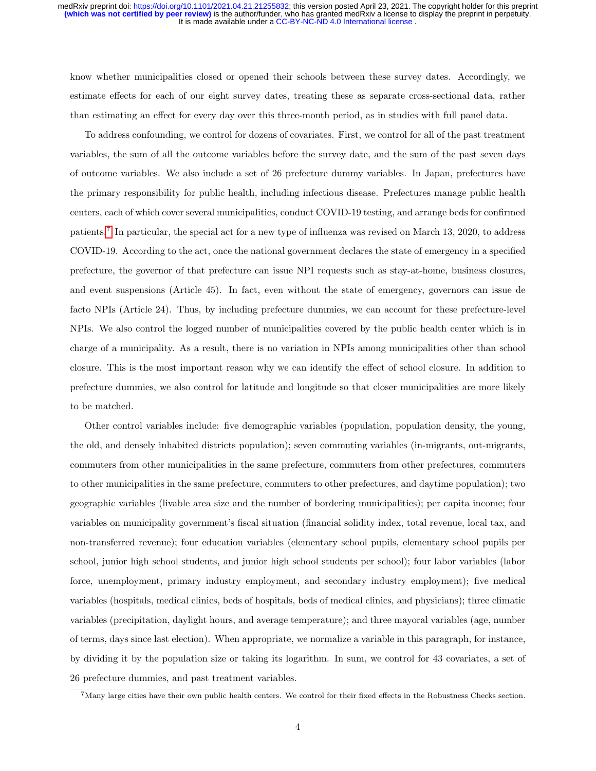know whether municipalities closed or opened their schools between these survey dates. Accordingly, we estimate effects for each of our eight survey dates, treating these as separate cross-sectional data, rather than estimating an effect for every day over this three-month period, as in studies with full panel data.

To address confounding, we control for dozens of covariates. First, we control for all of the past treatment variables, the sum of all the outcome variables before the survey date, and the sum of the past seven days of outcome variables. We also include a set of 26 prefecture dummy variables. In Japan, prefectures have the primary responsibility for public health, including infectious disease. Prefectures manage public health centers, each of which cover several municipalities, conduct COVID-19 testing, and arrange beds for confirmed patients.<sup>[7](#page-0-0)</sup> In particular, the special act for a new type of influenza was revised on March 13, 2020, to address COVID-19. According to the act, once the national government declares the state of emergency in a specified prefecture, the governor of that prefecture can issue NPI requests such as stay-at-home, business closures, and event suspensions (Article 45). In fact, even without the state of emergency, governors can issue de facto NPIs (Article 24). Thus, by including prefecture dummies, we can account for these prefecture-level NPIs. We also control the logged number of municipalities covered by the public health center which is in charge of a municipality. As a result, there is no variation in NPIs among municipalities other than school closure. This is the most important reason why we can identify the effect of school closure. In addition to prefecture dummies, we also control for latitude and longitude so that closer municipalities are more likely to be matched.

Other control variables include: five demographic variables (population, population density, the young, the old, and densely inhabited districts population); seven commuting variables (in-migrants, out-migrants, commuters from other municipalities in the same prefecture, commuters from other prefectures, commuters to other municipalities in the same prefecture, commuters to other prefectures, and daytime population); two geographic variables (livable area size and the number of bordering municipalities); per capita income; four variables on municipality government's fiscal situation (financial solidity index, total revenue, local tax, and non-transferred revenue); four education variables (elementary school pupils, elementary school pupils per school, junior high school students, and junior high school students per school); four labor variables (labor force, unemployment, primary industry employment, and secondary industry employment); five medical variables (hospitals, medical clinics, beds of hospitals, beds of medical clinics, and physicians); three climatic variables (precipitation, daylight hours, and average temperature); and three mayoral variables (age, number of terms, days since last election). When appropriate, we normalize a variable in this paragraph, for instance, by dividing it by the population size or taking its logarithm. In sum, we control for 43 covariates, a set of 26 prefecture dummies, and past treatment variables.

 $7$ Many large cities have their own public health centers. We control for their fixed effects in the Robustness Checks section.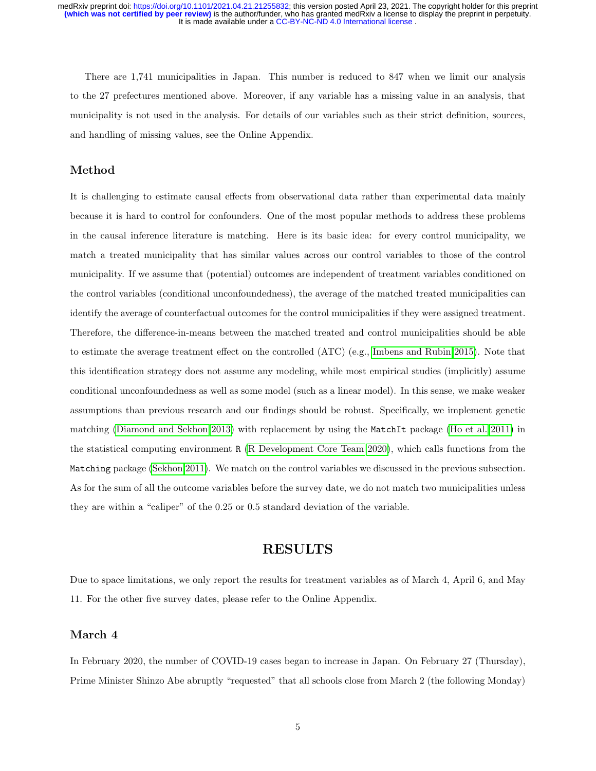It is made available under a [CC-BY-NC-ND 4.0 International license](http://creativecommons.org/licenses/by-nc-nd/4.0/) . medRxiv preprint doi: [https://doi.org/10.1101/2021.04.21.21255832;](https://doi.org/10.1101/2021.04.21.21255832) this version posted April 23, 2021. The copyright holder for this preprint<br>(which was not certified by peer review) is the author/funder, who has granted m

There are 1,741 municipalities in Japan. This number is reduced to 847 when we limit our analysis to the 27 prefectures mentioned above. Moreover, if any variable has a missing value in an analysis, that municipality is not used in the analysis. For details of our variables such as their strict definition, sources, and handling of missing values, see the Online Appendix.

## Method

It is challenging to estimate causal effects from observational data rather than experimental data mainly because it is hard to control for confounders. One of the most popular methods to address these problems in the causal inference literature is matching. Here is its basic idea: for every control municipality, we match a treated municipality that has similar values across our control variables to those of the control municipality. If we assume that (potential) outcomes are independent of treatment variables conditioned on the control variables (conditional unconfoundedness), the average of the matched treated municipalities can identify the average of counterfactual outcomes for the control municipalities if they were assigned treatment. Therefore, the difference-in-means between the matched treated and control municipalities should be able to estimate the average treatment effect on the controlled (ATC) (e.g., [Imbens and Rubin 2015\)](#page-17-6). Note that this identification strategy does not assume any modeling, while most empirical studies (implicitly) assume conditional unconfoundedness as well as some model (such as a linear model). In this sense, we make weaker assumptions than previous research and our findings should be robust. Specifically, we implement genetic matching [\(Diamond and Sekhon 2013\)](#page-16-5) with replacement by using the MatchIt package [\(Ho et al. 2011\)](#page-16-6) in the statistical computing environment R [\(R Development Core Team 2020\)](#page-18-5), which calls functions from the Matching package [\(Sekhon 2011\)](#page-18-6). We match on the control variables we discussed in the previous subsection. As for the sum of all the outcome variables before the survey date, we do not match two municipalities unless they are within a "caliper" of the 0.25 or 0.5 standard deviation of the variable.

## RESULTS

Due to space limitations, we only report the results for treatment variables as of March 4, April 6, and May 11. For the other five survey dates, please refer to the Online Appendix.

### March 4

In February 2020, the number of COVID-19 cases began to increase in Japan. On February 27 (Thursday), Prime Minister Shinzo Abe abruptly "requested" that all schools close from March 2 (the following Monday)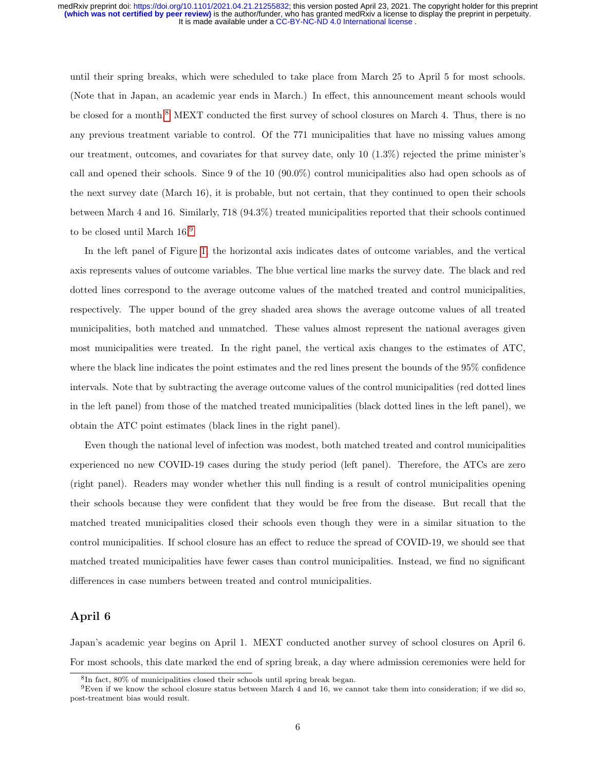until their spring breaks, which were scheduled to take place from March 25 to April 5 for most schools. (Note that in Japan, an academic year ends in March.) In effect, this announcement meant schools would be closed for a month.<sup>[8](#page-0-0)</sup> MEXT conducted the first survey of school closures on March 4. Thus, there is no any previous treatment variable to control. Of the 771 municipalities that have no missing values among our treatment, outcomes, and covariates for that survey date, only 10  $(1.3\%)$  rejected the prime minister's call and opened their schools. Since 9 of the 10 (90.0%) control municipalities also had open schools as of the next survey date (March 16), it is probable, but not certain, that they continued to open their schools between March 4 and 16. Similarly, 718 (94.3%) treated municipalities reported that their schools continued to be closed until March 16.[9](#page-0-0)

In the left panel of Figure [1,](#page-6-0) the horizontal axis indicates dates of outcome variables, and the vertical axis represents values of outcome variables. The blue vertical line marks the survey date. The black and red dotted lines correspond to the average outcome values of the matched treated and control municipalities, respectively. The upper bound of the grey shaded area shows the average outcome values of all treated municipalities, both matched and unmatched. These values almost represent the national averages given most municipalities were treated. In the right panel, the vertical axis changes to the estimates of ATC, where the black line indicates the point estimates and the red lines present the bounds of the 95% confidence intervals. Note that by subtracting the average outcome values of the control municipalities (red dotted lines in the left panel) from those of the matched treated municipalities (black dotted lines in the left panel), we obtain the ATC point estimates (black lines in the right panel).

Even though the national level of infection was modest, both matched treated and control municipalities experienced no new COVID-19 cases during the study period (left panel). Therefore, the ATCs are zero (right panel). Readers may wonder whether this null finding is a result of control municipalities opening their schools because they were confident that they would be free from the disease. But recall that the matched treated municipalities closed their schools even though they were in a similar situation to the control municipalities. If school closure has an effect to reduce the spread of COVID-19, we should see that matched treated municipalities have fewer cases than control municipalities. Instead, we find no significant differences in case numbers between treated and control municipalities.

### April 6

Japan's academic year begins on April 1. MEXT conducted another survey of school closures on April 6. For most schools, this date marked the end of spring break, a day where admission ceremonies were held for

<sup>8</sup> In fact, 80% of municipalities closed their schools until spring break began.

 $9$ Even if we know the school closure status between March 4 and 16, we cannot take them into consideration; if we did so, post-treatment bias would result.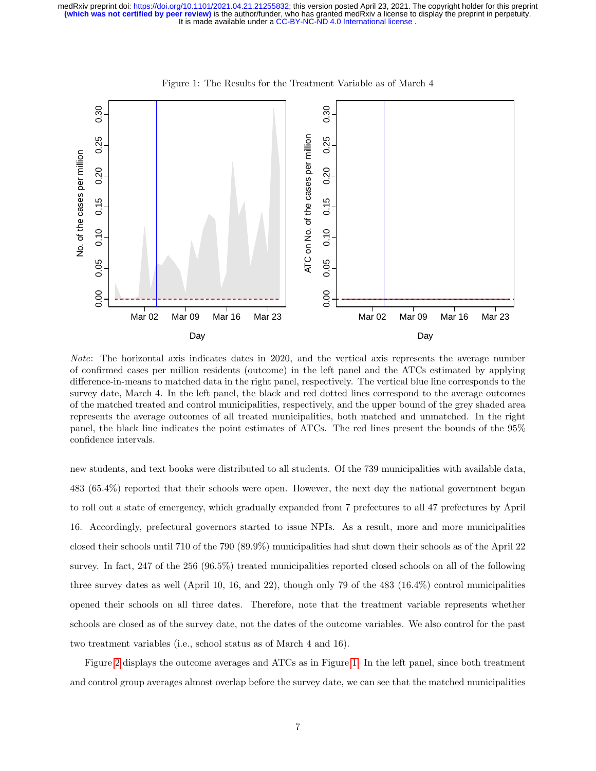

<span id="page-6-0"></span>Figure 1: The Results for the Treatment Variable as of March 4

Note: The horizontal axis indicates dates in 2020, and the vertical axis represents the average number of confirmed cases per million residents (outcome) in the left panel and the ATCs estimated by applying difference-in-means to matched data in the right panel, respectively. The vertical blue line corresponds to the survey date, March 4. In the left panel, the black and red dotted lines correspond to the average outcomes of the matched treated and control municipalities, respectively, and the upper bound of the grey shaded area represents the average outcomes of all treated municipalities, both matched and unmatched. In the right panel, the black line indicates the point estimates of ATCs. The red lines present the bounds of the 95% confidence intervals.

new students, and text books were distributed to all students. Of the 739 municipalities with available data, 483 (65.4%) reported that their schools were open. However, the next day the national government began to roll out a state of emergency, which gradually expanded from 7 prefectures to all 47 prefectures by April 16. Accordingly, prefectural governors started to issue NPIs. As a result, more and more municipalities closed their schools until 710 of the 790 (89.9%) municipalities had shut down their schools as of the April 22 survey. In fact, 247 of the 256 (96.5%) treated municipalities reported closed schools on all of the following three survey dates as well (April 10, 16, and 22), though only 79 of the 483 (16.4%) control municipalities opened their schools on all three dates. Therefore, note that the treatment variable represents whether schools are closed as of the survey date, not the dates of the outcome variables. We also control for the past two treatment variables (i.e., school status as of March 4 and 16).

Figure [2](#page-7-0) displays the outcome averages and ATCs as in Figure [1.](#page-6-0) In the left panel, since both treatment and control group averages almost overlap before the survey date, we can see that the matched municipalities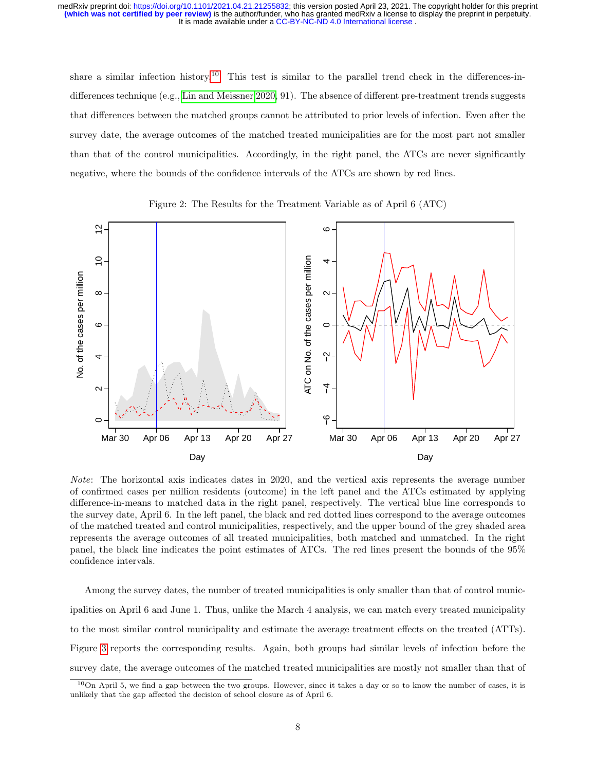share a similar infection history.<sup>[10](#page-0-0)</sup> This test is similar to the parallel trend check in the differences-indifferences technique (e.g., [Lin and Meissner 2020,](#page-17-7) 91). The absence of different pre-treatment trends suggests that differences between the matched groups cannot be attributed to prior levels of infection. Even after the survey date, the average outcomes of the matched treated municipalities are for the most part not smaller than that of the control municipalities. Accordingly, in the right panel, the ATCs are never significantly negative, where the bounds of the confidence intervals of the ATCs are shown by red lines.



<span id="page-7-0"></span>Figure 2: The Results for the Treatment Variable as of April 6 (ATC)

Note: The horizontal axis indicates dates in 2020, and the vertical axis represents the average number of confirmed cases per million residents (outcome) in the left panel and the ATCs estimated by applying difference-in-means to matched data in the right panel, respectively. The vertical blue line corresponds to the survey date, April 6. In the left panel, the black and red dotted lines correspond to the average outcomes of the matched treated and control municipalities, respectively, and the upper bound of the grey shaded area represents the average outcomes of all treated municipalities, both matched and unmatched. In the right panel, the black line indicates the point estimates of ATCs. The red lines present the bounds of the 95% confidence intervals.

Among the survey dates, the number of treated municipalities is only smaller than that of control municipalities on April 6 and June 1. Thus, unlike the March 4 analysis, we can match every treated municipality to the most similar control municipality and estimate the average treatment effects on the treated (ATTs). Figure [3](#page-8-0) reports the corresponding results. Again, both groups had similar levels of infection before the survey date, the average outcomes of the matched treated municipalities are mostly not smaller than that of

<sup>10</sup>On April 5, we find a gap between the two groups. However, since it takes a day or so to know the number of cases, it is unlikely that the gap affected the decision of school closure as of April 6.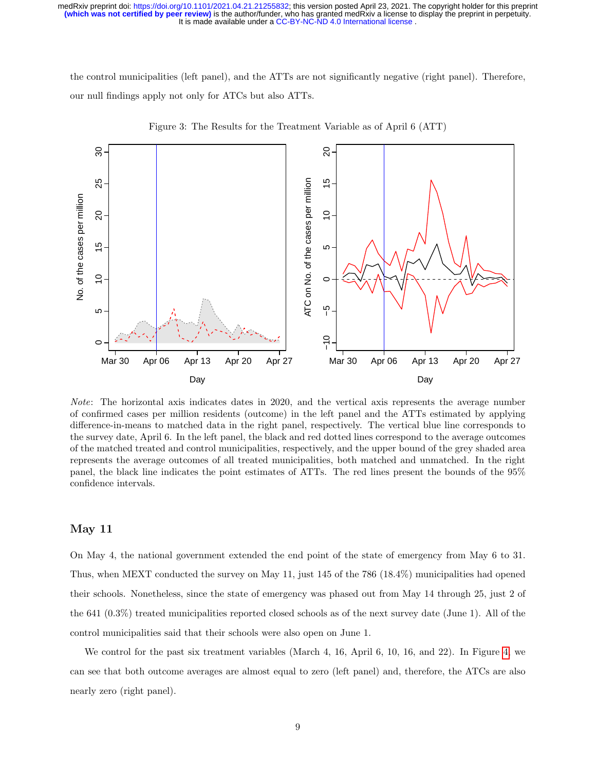the control municipalities (left panel), and the ATTs are not significantly negative (right panel). Therefore, our null findings apply not only for ATCs but also ATTs.



<span id="page-8-0"></span>Figure 3: The Results for the Treatment Variable as of April 6 (ATT)

Note: The horizontal axis indicates dates in 2020, and the vertical axis represents the average number of confirmed cases per million residents (outcome) in the left panel and the ATTs estimated by applying difference-in-means to matched data in the right panel, respectively. The vertical blue line corresponds to the survey date, April 6. In the left panel, the black and red dotted lines correspond to the average outcomes of the matched treated and control municipalities, respectively, and the upper bound of the grey shaded area represents the average outcomes of all treated municipalities, both matched and unmatched. In the right panel, the black line indicates the point estimates of ATTs. The red lines present the bounds of the 95% confidence intervals.

### May 11

On May 4, the national government extended the end point of the state of emergency from May 6 to 31. Thus, when MEXT conducted the survey on May 11, just 145 of the 786 (18.4%) municipalities had opened their schools. Nonetheless, since the state of emergency was phased out from May 14 through 25, just 2 of the 641 (0.3%) treated municipalities reported closed schools as of the next survey date (June 1). All of the control municipalities said that their schools were also open on June 1.

We control for the past six treatment variables (March 4, 16, April 6, 10, 16, and 22). In Figure [4,](#page-9-0) we can see that both outcome averages are almost equal to zero (left panel) and, therefore, the ATCs are also nearly zero (right panel).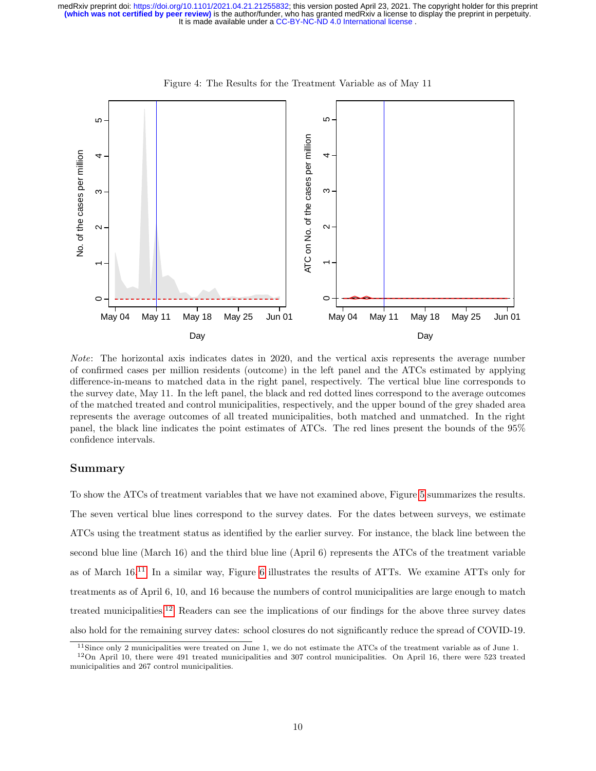

<span id="page-9-0"></span>Figure 4: The Results for the Treatment Variable as of May 11

Note: The horizontal axis indicates dates in 2020, and the vertical axis represents the average number of confirmed cases per million residents (outcome) in the left panel and the ATCs estimated by applying difference-in-means to matched data in the right panel, respectively. The vertical blue line corresponds to the survey date, May 11. In the left panel, the black and red dotted lines correspond to the average outcomes of the matched treated and control municipalities, respectively, and the upper bound of the grey shaded area represents the average outcomes of all treated municipalities, both matched and unmatched. In the right panel, the black line indicates the point estimates of ATCs. The red lines present the bounds of the 95% confidence intervals.

### Summary

To show the ATCs of treatment variables that we have not examined above, Figure [5](#page-10-0) summarizes the results. The seven vertical blue lines correspond to the survey dates. For the dates between surveys, we estimate ATCs using the treatment status as identified by the earlier survey. For instance, the black line between the second blue line (March 16) and the third blue line (April 6) represents the ATCs of the treatment variable as of March 16.[11](#page-0-0) In a similar way, Figure [6](#page-11-0) illustrates the results of ATTs. We examine ATTs only for treatments as of April 6, 10, and 16 because the numbers of control municipalities are large enough to match treated municipalities.[12](#page-0-0) Readers can see the implications of our findings for the above three survey dates also hold for the remaining survey dates: school closures do not significantly reduce the spread of COVID-19.

 $11$ Since only 2 municipalities were treated on June 1, we do not estimate the ATCs of the treatment variable as of June 1.

 $12$ On April 10, there were 491 treated municipalities and 307 control municipalities. On April 16, there were 523 treated municipalities and 267 control municipalities.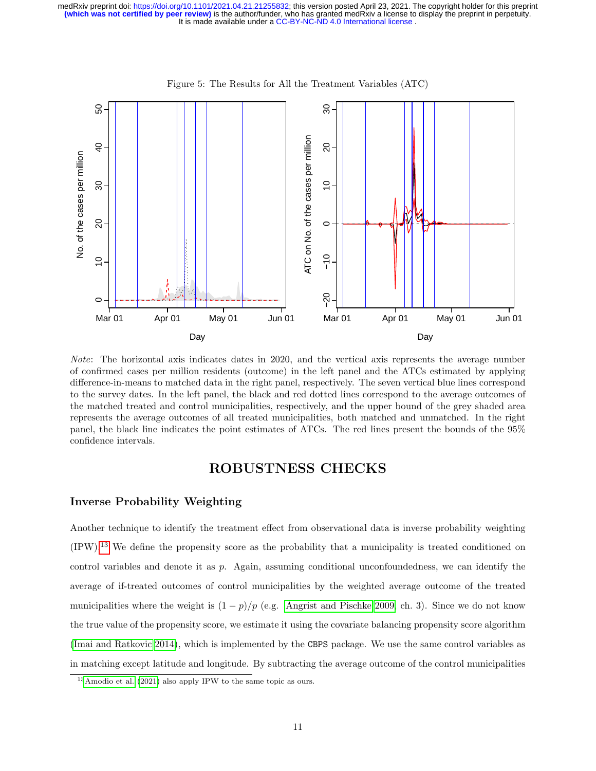

<span id="page-10-0"></span>Figure 5: The Results for All the Treatment Variables (ATC)

Note: The horizontal axis indicates dates in 2020, and the vertical axis represents the average number of confirmed cases per million residents (outcome) in the left panel and the ATCs estimated by applying difference-in-means to matched data in the right panel, respectively. The seven vertical blue lines correspond to the survey dates. In the left panel, the black and red dotted lines correspond to the average outcomes of the matched treated and control municipalities, respectively, and the upper bound of the grey shaded area represents the average outcomes of all treated municipalities, both matched and unmatched. In the right panel, the black line indicates the point estimates of ATCs. The red lines present the bounds of the 95% confidence intervals.

## ROBUSTNESS CHECKS

## Inverse Probability Weighting

Another technique to identify the treatment effect from observational data is inverse probability weighting (IPW).[13](#page-0-0) We define the propensity score as the probability that a municipality is treated conditioned on control variables and denote it as p. Again, assuming conditional unconfoundedness, we can identify the average of if-treated outcomes of control municipalities by the weighted average outcome of the treated municipalities where the weight is  $(1 - p)/p$  (e.g. [Angrist and Pischke 2009,](#page-15-2) ch. 3). Since we do not know the true value of the propensity score, we estimate it using the covariate balancing propensity score algorithm [\(Imai and Ratkovic 2014\)](#page-17-8), which is implemented by the CBPS package. We use the same control variables as in matching except latitude and longitude. By subtracting the average outcome of the control municipalities

<sup>13</sup>[Amodio et al.](#page-15-0) [\(2021\)](#page-15-0) also apply IPW to the same topic as ours.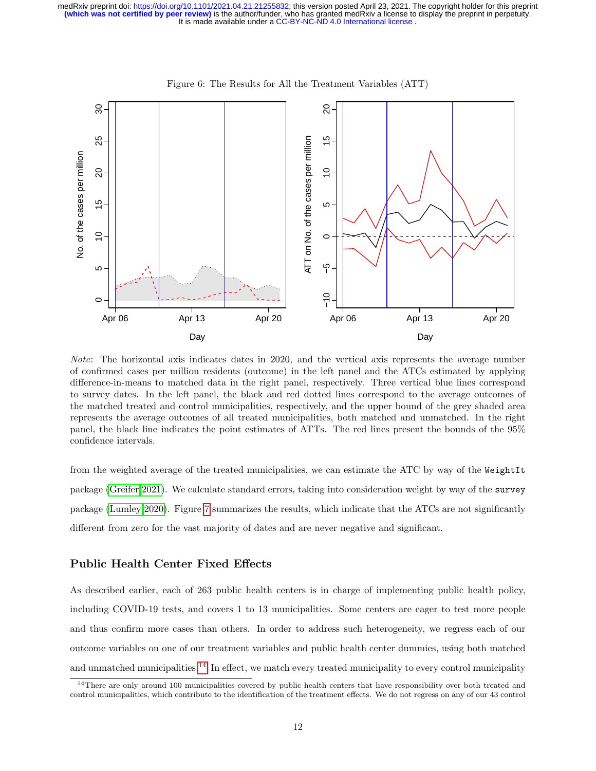

<span id="page-11-0"></span>Figure 6: The Results for All the Treatment Variables (ATT)

Note: The horizontal axis indicates dates in 2020, and the vertical axis represents the average number of confirmed cases per million residents (outcome) in the left panel and the ATCs estimated by applying difference-in-means to matched data in the right panel, respectively. Three vertical blue lines correspond to survey dates. In the left panel, the black and red dotted lines correspond to the average outcomes of the matched treated and control municipalities, respectively, and the upper bound of the grey shaded area represents the average outcomes of all treated municipalities, both matched and unmatched. In the right panel, the black line indicates the point estimates of ATTs. The red lines present the bounds of the 95% confidence intervals.

from the weighted average of the treated municipalities, we can estimate the ATC by way of the WeightIt package [\(Greifer 2021\)](#page-16-7). We calculate standard errors, taking into consideration weight by way of the survey package [\(Lumley 2020\)](#page-17-9). Figure [7](#page-12-0) summarizes the results, which indicate that the ATCs are not significantly different from zero for the vast majority of dates and are never negative and significant.

## Public Health Center Fixed Effects

As described earlier, each of 263 public health centers is in charge of implementing public health policy, including COVID-19 tests, and covers 1 to 13 municipalities. Some centers are eager to test more people and thus confirm more cases than others. In order to address such heterogeneity, we regress each of our outcome variables on one of our treatment variables and public health center dummies, using both matched and unmatched municipalities.<sup>[14](#page-0-0)</sup> In effect, we match every treated municipality to every control municipality

<sup>&</sup>lt;sup>14</sup>There are only around 100 municipalities covered by public health centers that have responsibility over both treated and control municipalities, which contribute to the identification of the treatment effects. We do not regress on any of our 43 control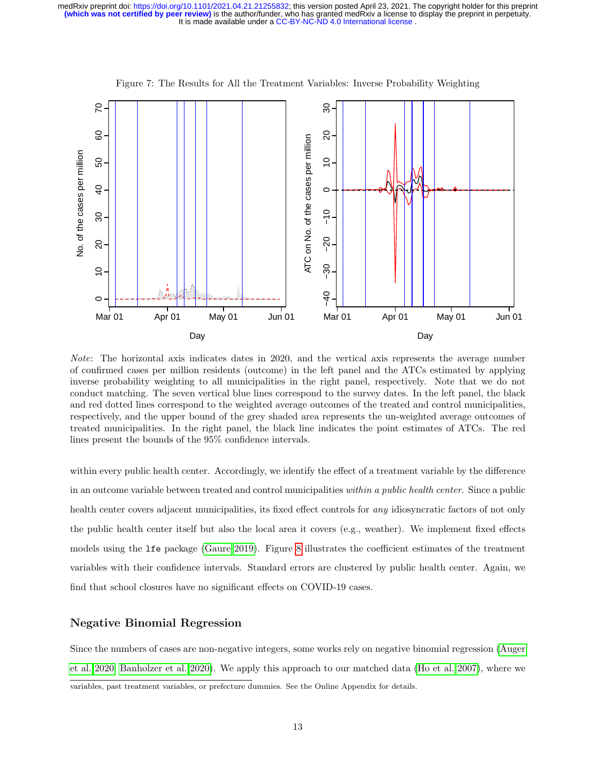

<span id="page-12-0"></span>Figure 7: The Results for All the Treatment Variables: Inverse Probability Weighting

Note: The horizontal axis indicates dates in 2020, and the vertical axis represents the average number of confirmed cases per million residents (outcome) in the left panel and the ATCs estimated by applying inverse probability weighting to all municipalities in the right panel, respectively. Note that we do not conduct matching. The seven vertical blue lines correspond to the survey dates. In the left panel, the black and red dotted lines correspond to the weighted average outcomes of the treated and control municipalities, respectively, and the upper bound of the grey shaded area represents the un-weighted average outcomes of treated municipalities. In the right panel, the black line indicates the point estimates of ATCs. The red lines present the bounds of the 95% confidence intervals.

within every public health center. Accordingly, we identify the effect of a treatment variable by the difference in an outcome variable between treated and control municipalities within a public health center. Since a public health center covers adjacent municipalities, its fixed effect controls for any idiosyncratic factors of not only the public health center itself but also the local area it covers (e.g., weather). We implement fixed effects models using the lfe package [\(Gaure 2019\)](#page-16-8). Figure [8](#page-13-0) illustrates the coefficient estimates of the treatment variables with their confidence intervals. Standard errors are clustered by public health center. Again, we find that school closures have no significant effects on COVID-19 cases.

## Negative Binomial Regression

Since the numbers of cases are non-negative integers, some works rely on negative binomial regression [\(Auger](#page-15-1) [et al. 2020;](#page-15-1) [Banholzer et al. 2020\)](#page-15-3). We apply this approach to our matched data [\(Ho et al. 2007\)](#page-17-10), where we variables, past treatment variables, or prefecture dummies. See the Online Appendix for details.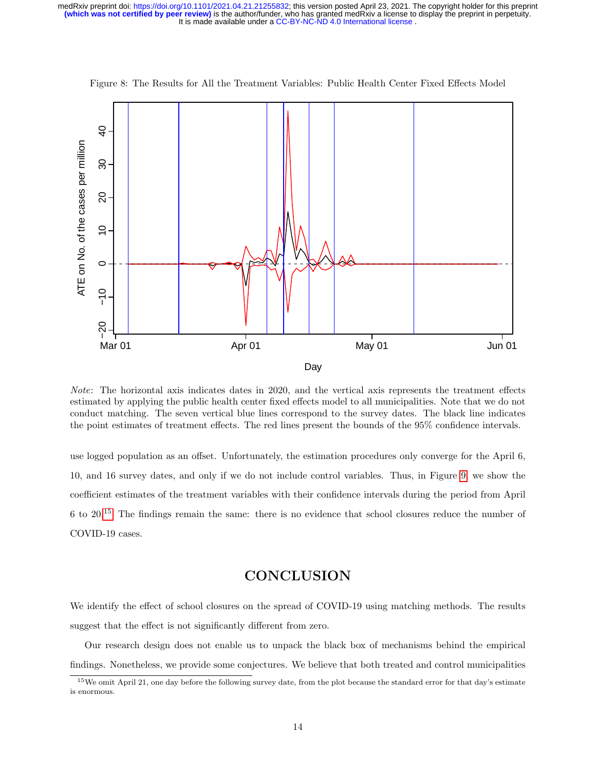

<span id="page-13-0"></span>Figure 8: The Results for All the Treatment Variables: Public Health Center Fixed Effects Model

Note: The horizontal axis indicates dates in 2020, and the vertical axis represents the treatment effects estimated by applying the public health center fixed effects model to all municipalities. Note that we do not conduct matching. The seven vertical blue lines correspond to the survey dates. The black line indicates the point estimates of treatment effects. The red lines present the bounds of the 95% confidence intervals.

use logged population as an offset. Unfortunately, the estimation procedures only converge for the April 6, 10, and 16 survey dates, and only if we do not include control variables. Thus, in Figure [9,](#page-14-0) we show the coefficient estimates of the treatment variables with their confidence intervals during the period from April 6 to 20.[15](#page-0-0) The findings remain the same: there is no evidence that school closures reduce the number of COVID-19 cases.

## **CONCLUSION**

We identify the effect of school closures on the spread of COVID-19 using matching methods. The results suggest that the effect is not significantly different from zero.

Our research design does not enable us to unpack the black box of mechanisms behind the empirical findings. Nonetheless, we provide some conjectures. We believe that both treated and control municipalities

<sup>&</sup>lt;sup>15</sup>We omit April 21, one day before the following survey date, from the plot because the standard error for that day's estimate is enormous.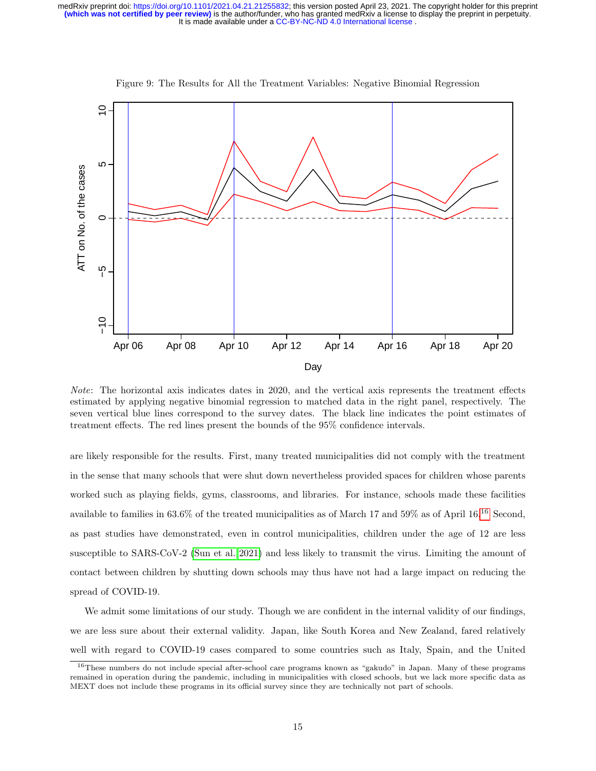

<span id="page-14-0"></span>Figure 9: The Results for All the Treatment Variables: Negative Binomial Regression

Note: The horizontal axis indicates dates in 2020, and the vertical axis represents the treatment effects estimated by applying negative binomial regression to matched data in the right panel, respectively. The seven vertical blue lines correspond to the survey dates. The black line indicates the point estimates of treatment effects. The red lines present the bounds of the 95% confidence intervals.

are likely responsible for the results. First, many treated municipalities did not comply with the treatment in the sense that many schools that were shut down nevertheless provided spaces for children whose parents worked such as playing fields, gyms, classrooms, and libraries. For instance, schools made these facilities available to families in 63.6% of the treated municipalities as of March 17 and 59% as of April 16.[16](#page-0-0) Second, as past studies have demonstrated, even in control municipalities, children under the age of 12 are less susceptible to SARS-CoV-2 [\(Sun et al. 2021\)](#page-18-7) and less likely to transmit the virus. Limiting the amount of contact between children by shutting down schools may thus have not had a large impact on reducing the spread of COVID-19.

We admit some limitations of our study. Though we are confident in the internal validity of our findings, we are less sure about their external validity. Japan, like South Korea and New Zealand, fared relatively well with regard to COVID-19 cases compared to some countries such as Italy, Spain, and the United

<sup>16</sup>These numbers do not include special after-school care programs known as "gakudo" in Japan. Many of these programs remained in operation during the pandemic, including in municipalities with closed schools, but we lack more specific data as MEXT does not include these programs in its official survey since they are technically not part of schools.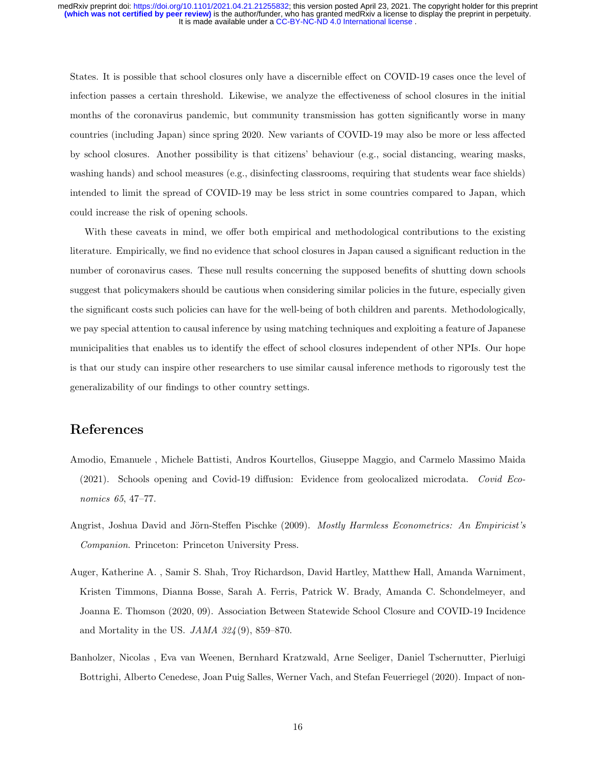States. It is possible that school closures only have a discernible effect on COVID-19 cases once the level of infection passes a certain threshold. Likewise, we analyze the effectiveness of school closures in the initial months of the coronavirus pandemic, but community transmission has gotten significantly worse in many countries (including Japan) since spring 2020. New variants of COVID-19 may also be more or less affected by school closures. Another possibility is that citizens' behaviour (e.g., social distancing, wearing masks, washing hands) and school measures (e.g., disinfecting classrooms, requiring that students wear face shields) intended to limit the spread of COVID-19 may be less strict in some countries compared to Japan, which could increase the risk of opening schools.

With these caveats in mind, we offer both empirical and methodological contributions to the existing literature. Empirically, we find no evidence that school closures in Japan caused a significant reduction in the number of coronavirus cases. These null results concerning the supposed benefits of shutting down schools suggest that policymakers should be cautious when considering similar policies in the future, especially given the significant costs such policies can have for the well-being of both children and parents. Methodologically, we pay special attention to causal inference by using matching techniques and exploiting a feature of Japanese municipalities that enables us to identify the effect of school closures independent of other NPIs. Our hope is that our study can inspire other researchers to use similar causal inference methods to rigorously test the generalizability of our findings to other country settings.

## References

- <span id="page-15-0"></span>Amodio, Emanuele , Michele Battisti, Andros Kourtellos, Giuseppe Maggio, and Carmelo Massimo Maida (2021). Schools opening and Covid-19 diffusion: Evidence from geolocalized microdata. Covid Economics 65, 47–77.
- <span id="page-15-2"></span>Angrist, Joshua David and Jörn-Steffen Pischke (2009). Mostly Harmless Econometrics: An Empiricist's Companion. Princeton: Princeton University Press.
- <span id="page-15-1"></span>Auger, Katherine A. , Samir S. Shah, Troy Richardson, David Hartley, Matthew Hall, Amanda Warniment, Kristen Timmons, Dianna Bosse, Sarah A. Ferris, Patrick W. Brady, Amanda C. Schondelmeyer, and Joanna E. Thomson (2020, 09). Association Between Statewide School Closure and COVID-19 Incidence and Mortality in the US.  $JAMA$  32 $4(9)$ , 859-870.
- <span id="page-15-3"></span>Banholzer, Nicolas , Eva van Weenen, Bernhard Kratzwald, Arne Seeliger, Daniel Tschernutter, Pierluigi Bottrighi, Alberto Cenedese, Joan Puig Salles, Werner Vach, and Stefan Feuerriegel (2020). Impact of non-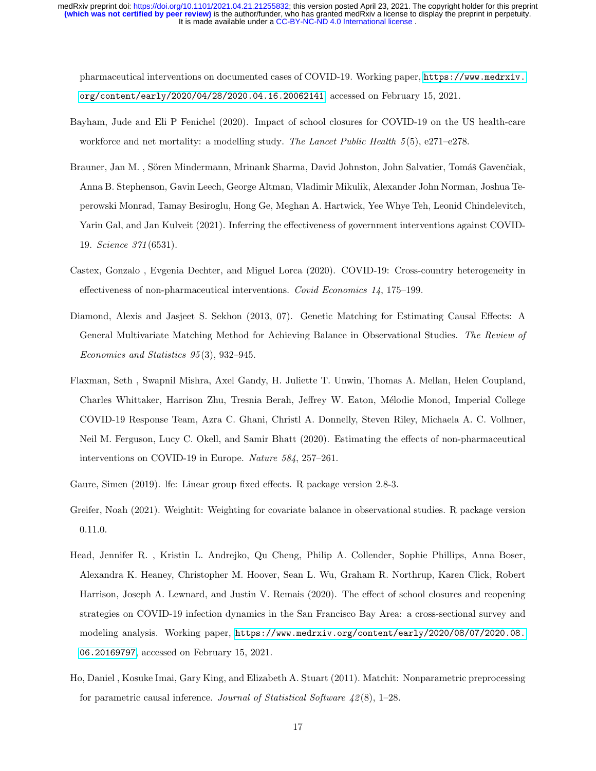It is made available under a [CC-BY-NC-ND 4.0 International license](http://creativecommons.org/licenses/by-nc-nd/4.0/) . medRxiv preprint doi: [https://doi.org/10.1101/2021.04.21.21255832;](https://doi.org/10.1101/2021.04.21.21255832) this version posted April 23, 2021. The copyright holder for this preprint<br>(which was not certified by peer review) is the author/funder, who has granted m

pharmaceutical interventions on documented cases of COVID-19. Working paper, [https://www.medrxiv.](https://www.medrxiv.org/content/early/2020/04/28/2020.04.16.20062141) [org/content/early/2020/04/28/2020.04.16.20062141](https://www.medrxiv.org/content/early/2020/04/28/2020.04.16.20062141), accessed on February 15, 2021.

- <span id="page-16-1"></span>Bayham, Jude and Eli P Fenichel (2020). Impact of school closures for COVID-19 on the US health-care workforce and net mortality: a modelling study. The Lancet Public Health  $5(5)$ , e271–e278.
- <span id="page-16-4"></span>Brauner, Jan M., Sören Mindermann, Mrinank Sharma, David Johnston, John Salvatier, Tomáš Gavenčiak, Anna B. Stephenson, Gavin Leech, George Altman, Vladimir Mikulik, Alexander John Norman, Joshua Teperowski Monrad, Tamay Besiroglu, Hong Ge, Meghan A. Hartwick, Yee Whye Teh, Leonid Chindelevitch, Yarin Gal, and Jan Kulveit (2021). Inferring the effectiveness of government interventions against COVID-19. Science 371 (6531).
- <span id="page-16-0"></span>Castex, Gonzalo , Evgenia Dechter, and Miguel Lorca (2020). COVID-19: Cross-country heterogeneity in effectiveness of non-pharmaceutical interventions. Covid Economics 14, 175–199.
- <span id="page-16-5"></span>Diamond, Alexis and Jasjeet S. Sekhon (2013, 07). Genetic Matching for Estimating Causal Effects: A General Multivariate Matching Method for Achieving Balance in Observational Studies. The Review of Economics and Statistics 95 (3), 932–945.
- <span id="page-16-2"></span>Flaxman, Seth , Swapnil Mishra, Axel Gandy, H. Juliette T. Unwin, Thomas A. Mellan, Helen Coupland, Charles Whittaker, Harrison Zhu, Tresnia Berah, Jeffrey W. Eaton, M´elodie Monod, Imperial College COVID-19 Response Team, Azra C. Ghani, Christl A. Donnelly, Steven Riley, Michaela A. C. Vollmer, Neil M. Ferguson, Lucy C. Okell, and Samir Bhatt (2020). Estimating the effects of non-pharmaceutical interventions on COVID-19 in Europe. Nature 584, 257–261.
- <span id="page-16-8"></span><span id="page-16-7"></span>Gaure, Simen (2019). lfe: Linear group fixed effects. R package version 2.8-3.
- Greifer, Noah (2021). Weightit: Weighting for covariate balance in observational studies. R package version 0.11.0.
- <span id="page-16-3"></span>Head, Jennifer R. , Kristin L. Andrejko, Qu Cheng, Philip A. Collender, Sophie Phillips, Anna Boser, Alexandra K. Heaney, Christopher M. Hoover, Sean L. Wu, Graham R. Northrup, Karen Click, Robert Harrison, Joseph A. Lewnard, and Justin V. Remais (2020). The effect of school closures and reopening strategies on COVID-19 infection dynamics in the San Francisco Bay Area: a cross-sectional survey and modeling analysis. Working paper, [https://www.medrxiv.org/content/early/2020/08/07/2020.08.](https://www.medrxiv.org/content/early/2020/08/07/2020.08.06.20169797) [06.20169797](https://www.medrxiv.org/content/early/2020/08/07/2020.08.06.20169797), accessed on February 15, 2021.
- <span id="page-16-6"></span>Ho, Daniel , Kosuke Imai, Gary King, and Elizabeth A. Stuart (2011). Matchit: Nonparametric preprocessing for parametric causal inference. Journal of Statistical Software  $\frac{42(8)}{1-28}$ .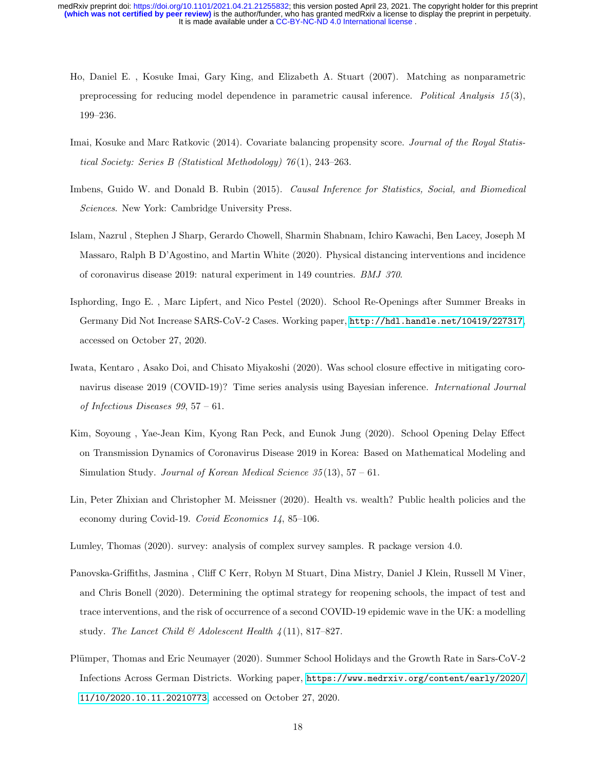- <span id="page-17-10"></span>Ho, Daniel E. , Kosuke Imai, Gary King, and Elizabeth A. Stuart (2007). Matching as nonparametric preprocessing for reducing model dependence in parametric causal inference. Political Analysis 15(3), 199–236.
- <span id="page-17-8"></span>Imai, Kosuke and Marc Ratkovic (2014). Covariate balancing propensity score. Journal of the Royal Statistical Society: Series B (Statistical Methodology) 76 (1), 243–263.
- <span id="page-17-6"></span>Imbens, Guido W. and Donald B. Rubin (2015). Causal Inference for Statistics, Social, and Biomedical Sciences. New York: Cambridge University Press.
- <span id="page-17-2"></span>Islam, Nazrul , Stephen J Sharp, Gerardo Chowell, Sharmin Shabnam, Ichiro Kawachi, Ben Lacey, Joseph M Massaro, Ralph B D'Agostino, and Martin White (2020). Physical distancing interventions and incidence of coronavirus disease 2019: natural experiment in 149 countries. BMJ 370.
- <span id="page-17-3"></span>Isphording, Ingo E. , Marc Lipfert, and Nico Pestel (2020). School Re-Openings after Summer Breaks in Germany Did Not Increase SARS-CoV-2 Cases. Working paper, <http://hdl.handle.net/10419/227317>, accessed on October 27, 2020.
- <span id="page-17-4"></span>Iwata, Kentaro , Asako Doi, and Chisato Miyakoshi (2020). Was school closure effective in mitigating coronavirus disease 2019 (COVID-19)? Time series analysis using Bayesian inference. *International Journal* of Infectious Diseases 99, 57 – 61.
- <span id="page-17-0"></span>Kim, Soyoung , Yae-Jean Kim, Kyong Ran Peck, and Eunok Jung (2020). School Opening Delay Effect on Transmission Dynamics of Coronavirus Disease 2019 in Korea: Based on Mathematical Modeling and Simulation Study. Journal of Korean Medical Science  $35(13)$ ,  $57-61$ .
- <span id="page-17-7"></span>Lin, Peter Zhixian and Christopher M. Meissner (2020). Health vs. wealth? Public health policies and the economy during Covid-19. Covid Economics 14, 85–106.
- <span id="page-17-9"></span>Lumley, Thomas (2020). survey: analysis of complex survey samples. R package version 4.0.
- <span id="page-17-1"></span>Panovska-Griffiths, Jasmina , Cliff C Kerr, Robyn M Stuart, Dina Mistry, Daniel J Klein, Russell M Viner, and Chris Bonell (2020). Determining the optimal strategy for reopening schools, the impact of test and trace interventions, and the risk of occurrence of a second COVID-19 epidemic wave in the UK: a modelling study. The Lancet Child & Adolescent Health  $\frac{1}{4}(11), 817-827$ .
- <span id="page-17-5"></span>Plümper, Thomas and Eric Neumayer (2020). Summer School Holidays and the Growth Rate in Sars-CoV-2 Infections Across German Districts. Working paper, [https://www.medrxiv.org/content/early/2020/](https://www.medrxiv.org/content/early/2020/11/10/2020.10.11.20210773) [11/10/2020.10.11.20210773](https://www.medrxiv.org/content/early/2020/11/10/2020.10.11.20210773), accessed on October 27, 2020.